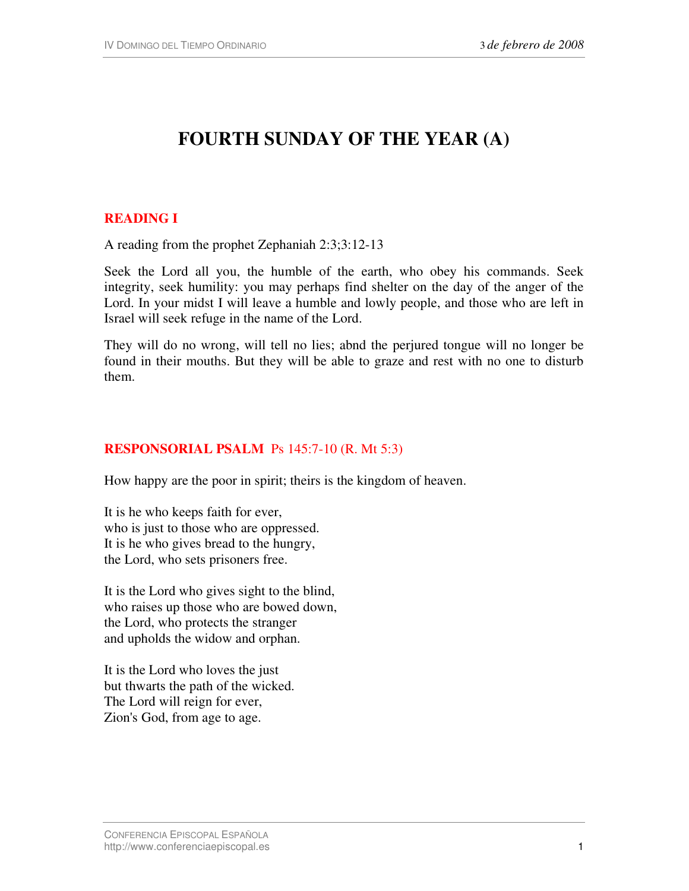# **FOURTH SUNDAY OF THE YEAR (A)**

## **READING I**

A reading from the prophet Zephaniah 2:3;3:12-13

Seek the Lord all you, the humble of the earth, who obey his commands. Seek integrity, seek humility: you may perhaps find shelter on the day of the anger of the Lord. In your midst I will leave a humble and lowly people, and those who are left in Israel will seek refuge in the name of the Lord.

They will do no wrong, will tell no lies; abnd the perjured tongue will no longer be found in their mouths. But they will be able to graze and rest with no one to disturb them.

#### **RESPONSORIAL PSALM** Ps 145:7-10 (R. Mt 5:3)

How happy are the poor in spirit; theirs is the kingdom of heaven.

It is he who keeps faith for ever, who is just to those who are oppressed. It is he who gives bread to the hungry, the Lord, who sets prisoners free.

It is the Lord who gives sight to the blind, who raises up those who are bowed down, the Lord, who protects the stranger and upholds the widow and orphan.

It is the Lord who loves the just but thwarts the path of the wicked. The Lord will reign for ever, Zion's God, from age to age.